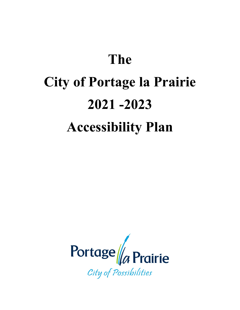# **The City of Portage la Prairie 2021 -2023 Accessibility Plan**

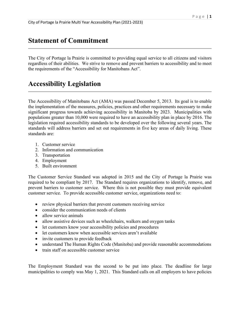## **Statement of Commitment**

The City of Portage la Prairie is committed to providing equal service to all citizens and visitors regardless of their abilities. We strive to remove and prevent barriers to accessibility and to meet the requirements of the "Accessibility for Manitobans Act".

## **Accessibility Legislation**

The Accessibility of Manitobans Act (AMA) was passed December 5, 2013. Its goal is to enable the implementation of the measures, policies, practices and other requirements necessary to make significant progress towards achieving accessibility in Manitoba by 2023. Municipalities with populations greater than 10,000 were required to have an accessibility plan in place by 2016. The legislation required accessibility standards to be developed over the following several years. The standards will address barriers and set out requirements in five key areas of daily living. These standards are:

- 1. Customer service
- 2. Information and communication
- 3. Transportation
- 4. Employment
- 5. Built environment

The Customer Service Standard was adopted in 2015 and the City of Portage la Prairie was required to be compliant by 2017. The Standard requires organizations to identify, remove, and prevent barriers to customer service. Where this is not possible they must provide equivalent customer service. To provide accessible customer service, organizations need to:

- review physical barriers that prevent customers receiving service
- consider the communication needs of clients
- allow service animals
- allow assistive devices such as wheelchairs, walkers and oxygen tanks
- let customers know your accessibility policies and procedures
- let customers know when accessible services aren't available
- invite customers to provide feedback
- understand The Human Rights Code (Manitoba) and provide reasonable accommodations
- train staff on accessible customer service

The Employment Standard was the second to be put into place. The deadline for large municipalities to comply was May 1, 2021. This Standard calls on all employers to have policies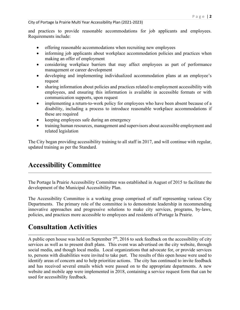#### City of Portage la Prairie Multi Year Accessibility Plan (2021-2023)

and practices to provide reasonable accommodations for job applicants and employees. Requirements include:

- offering reasonable accommodations when recruiting new employees
- informing job applicants about workplace accommodation policies and practices when making an offer of employment
- considering workplace barriers that may affect employees as part of performance management or career development
- developing and implementing individualized accommodation plans at an employee's request
- sharing information about policies and practices related to employment accessibility with employees, and ensuring this information is available in accessible formats or with communication supports, upon request
- implementing a return-to-work policy for employees who have been absent because of a disability, including a process to introduce reasonable workplace accommodations if these are required
- keeping employees safe during an emergency
- training human resources, management and supervisors about accessible employment and related legislation

The City began providing accessibility training to all staff in 2017, and will continue with regular, updated training as per the Standard.

## **Accessibility Committee**

The Portage la Prairie Accessibility Committee was established in August of 2015 to facilitate the development of the Municipal Accessibility Plan.

The Accessibility Committee is a working group comprised of staff representing various City Departments. The primary role of the committee is to demonstrate leadership in recommending innovative approaches and progressive solutions to make city services, programs, by-laws, policies, and practices more accessible to employees and residents of Portage la Prairie.

## **Consultation Activities**

A public open house was held on September  $7<sup>th</sup>$ , 2016 to seek feedback on the accessibility of city services as well as to present draft plans. This event was advertised on the city website, through social media, and though local media. Local organizations that advocate for, or provide services to, persons with disabilities were invited to take part. The results of this open house were used to identify areas of concern and to help prioritize actions. The city has continued to invite feedback and has received several emails which were passed on to the appropriate departments. A new website and mobile app were implemented in 2018, containing a service request form that can be used for accessibility feedback.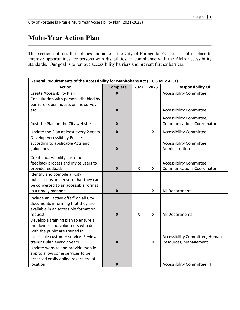# **Multi-Year Action Plan**

This section outlines the policies and actions the City of Portage la Prairie has put in place to improve opportunities for persons with disabilities, in compliance with the AMA accessibility standards. Our goal is to remove accessibility barriers and prevent further barriers.

| General Requirements of the Accessibility for Manitobans Act (C.C.S.M. c A1.7) |                           |      |      |                                   |  |  |
|--------------------------------------------------------------------------------|---------------------------|------|------|-----------------------------------|--|--|
| <b>Action</b>                                                                  | <b>Complete</b>           | 2022 | 2023 | <b>Responsibility Of</b>          |  |  |
| Create Accessibility Plan                                                      | X                         |      |      | <b>Accessibility Committee</b>    |  |  |
| Consultation with persons disabled by                                          |                           |      |      |                                   |  |  |
| barriers - open house, online survey,                                          |                           |      |      |                                   |  |  |
| etc.                                                                           | X                         |      |      | <b>Accessibility Committee</b>    |  |  |
|                                                                                |                           |      |      | Accessibility Committee,          |  |  |
| Post the Plan on the City website                                              | $\boldsymbol{X}$          |      |      | <b>Communications Coordinator</b> |  |  |
|                                                                                |                           |      |      |                                   |  |  |
| Update the Plan at least every 2 years                                         | $\boldsymbol{X}$          |      | X    | <b>Accessibility Committee</b>    |  |  |
| <b>Develop Accessibility Policies</b>                                          |                           |      |      |                                   |  |  |
| according to applicable Acts and                                               |                           |      |      | Accessibility Committee,          |  |  |
| guidelines                                                                     | $\boldsymbol{X}$          |      |      | Administration                    |  |  |
| Create accessibility customer                                                  |                           |      |      |                                   |  |  |
| feedback process and invite users to                                           |                           |      |      | Accessibility Committee,          |  |  |
| provide feedback                                                               | $\boldsymbol{X}$          | X    | X    | <b>Communications Coordinator</b> |  |  |
| Identify and compile all City                                                  |                           |      |      |                                   |  |  |
| publications and ensure that they can                                          |                           |      |      |                                   |  |  |
| be converted to an accessible format                                           |                           |      |      |                                   |  |  |
| in a timely manner.                                                            | $\boldsymbol{X}$          |      | X    | All Departments                   |  |  |
| Include an "active offer" on all City                                          |                           |      |      |                                   |  |  |
| documents informing that they are                                              |                           |      |      |                                   |  |  |
| available in an accessible format on                                           |                           |      |      |                                   |  |  |
| request                                                                        | $\boldsymbol{\mathsf{X}}$ | X    | X    | All Departments                   |  |  |
| Develop a training plan to ensure all                                          |                           |      |      |                                   |  |  |
| employees and volunteers who deal                                              |                           |      |      |                                   |  |  |
| with the public are trained in                                                 |                           |      |      |                                   |  |  |
| accessible customer service. Review                                            |                           |      |      | Accessibility Committee, Human    |  |  |
| training plan every 2 years.                                                   | $\boldsymbol{X}$          |      | X    | Resources, Management             |  |  |
| Update website and provide mobile                                              |                           |      |      |                                   |  |  |
| app to allow some services to be                                               |                           |      |      |                                   |  |  |
| accessed easily online regardless of                                           |                           |      |      |                                   |  |  |
| location                                                                       | $\boldsymbol{X}$          |      |      | Accessibility Committee, IT       |  |  |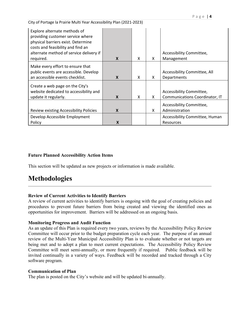City of Portage la Prairie Multi Year Accessibility Plan (2021-2023)

| Explore alternate methods of<br>providing customer service where<br>physical barriers exist. Determine<br>costs and feasibility and find an<br>alternate method of service delivery if<br>required. | $\boldsymbol{x}$          | X | X | Accessibility Committee,<br>Management                     |
|-----------------------------------------------------------------------------------------------------------------------------------------------------------------------------------------------------|---------------------------|---|---|------------------------------------------------------------|
| Make every effort to ensure that<br>public events are accessible. Develop<br>an accessible events checklist.                                                                                        | X                         | X | X | Accessibility Committee, All<br>Departments                |
| Create a web page on the City's<br>website dedicated to accessibility and<br>update it regularly.                                                                                                   | $\boldsymbol{\mathsf{x}}$ | X | X | Accessibility Committee,<br>Communications Coordinator, IT |
| Review existing Accessibility Policies                                                                                                                                                              | X                         |   | X | Accessibility Committee,<br>Administration                 |
| Develop Accessible Employment<br>Policy                                                                                                                                                             | X                         |   |   | Accessibility Committee, Human<br>Resources                |

#### **Future Planned Accessibility Action Items**

This section will be updated as new projects or information is made available.

## **Methodologies**

#### **Review of Current Activities to Identify Barriers**

A review of current activities to identify barriers is ongoing with the goal of creating policies and procedures to prevent future barriers from being created and viewing the identified ones as opportunities for improvement. Barriers will be addressed on an ongoing basis.

#### **Monitoring Progress and Audit Function**

As an update of this Plan is required every two years, reviews by the Accessibility Policy Review Committee will occur prior to the budget preparation cycle each year. The purpose of an annual review of the Multi-Year Municipal Accessibility Plan is to evaluate whether or not targets are being met and to adopt a plan to meet current expectations. The Accessibility Policy Review Committee will meet semi-annually, or more frequently if required. Public feedback will be invited continually in a variety of ways. Feedback will be recorded and tracked through a City software program.

#### **Communication of Plan**

The plan is posted on the City's website and will be updated bi-annually.